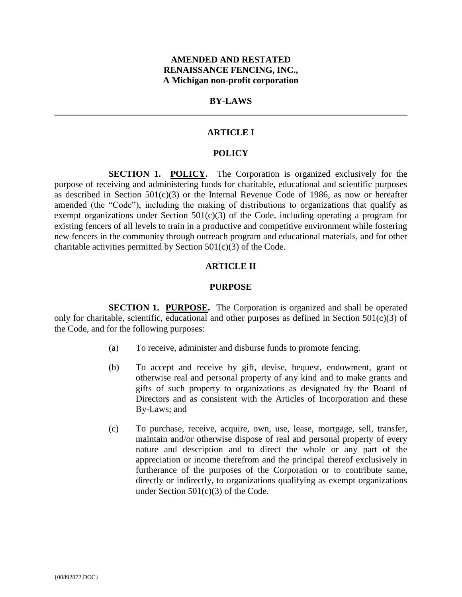## **AMENDED AND RESTATED RENAISSANCE FENCING, INC., A Michigan non-profit corporation**

# **BY-LAWS \_\_\_\_\_\_\_\_\_\_\_\_\_\_\_\_\_\_\_\_\_\_\_\_\_\_\_\_\_\_\_\_\_\_\_\_\_\_\_\_\_\_\_\_\_\_\_\_\_\_\_\_\_\_\_\_\_\_\_\_\_\_\_\_\_\_\_\_\_\_\_\_\_\_\_\_\_\_**

### **ARTICLE I**

# **POLICY**

**SECTION 1. POLICY.** The Corporation is organized exclusively for the purpose of receiving and administering funds for charitable, educational and scientific purposes as described in Section 501(c)(3) or the Internal Revenue Code of 1986, as now or hereafter amended (the "Code"), including the making of distributions to organizations that qualify as exempt organizations under Section  $501(c)(3)$  of the Code, including operating a program for existing fencers of all levels to train in a productive and competitive environment while fostering new fencers in the community through outreach program and educational materials, and for other charitable activities permitted by Section  $501(c)(3)$  of the Code.

#### **ARTICLE II**

#### **PURPOSE**

**SECTION 1. PURPOSE.** The Corporation is organized and shall be operated only for charitable, scientific, educational and other purposes as defined in Section  $501(c)(3)$  of the Code, and for the following purposes:

- (a) To receive, administer and disburse funds to promote fencing.
- (b) To accept and receive by gift, devise, bequest, endowment, grant or otherwise real and personal property of any kind and to make grants and gifts of such property to organizations as designated by the Board of Directors and as consistent with the Articles of Incorporation and these By-Laws; and
- (c) To purchase, receive, acquire, own, use, lease, mortgage, sell, transfer, maintain and/or otherwise dispose of real and personal property of every nature and description and to direct the whole or any part of the appreciation or income therefrom and the principal thereof exclusively in furtherance of the purposes of the Corporation or to contribute same, directly or indirectly, to organizations qualifying as exempt organizations under Section 501(c)(3) of the Code.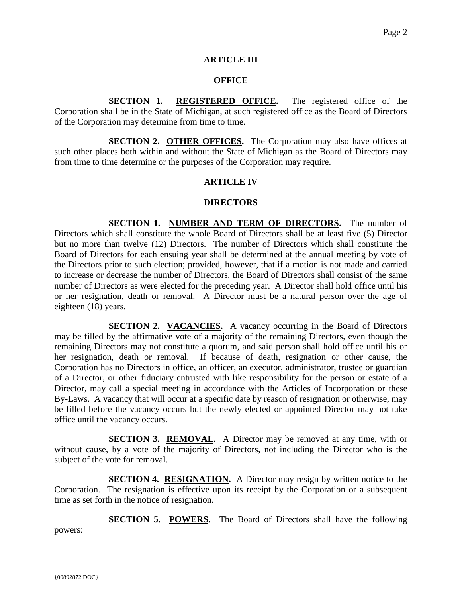### **ARTICLE III**

### **OFFICE**

**SECTION 1. REGISTERED OFFICE.** The registered office of the Corporation shall be in the State of Michigan, at such registered office as the Board of Directors of the Corporation may determine from time to time.

**SECTION 2. OTHER OFFICES.** The Corporation may also have offices at such other places both within and without the State of Michigan as the Board of Directors may from time to time determine or the purposes of the Corporation may require.

## **ARTICLE IV**

## **DIRECTORS**

**SECTION 1. NUMBER AND TERM OF DIRECTORS.** The number of Directors which shall constitute the whole Board of Directors shall be at least five (5) Director but no more than twelve (12) Directors. The number of Directors which shall constitute the Board of Directors for each ensuing year shall be determined at the annual meeting by vote of the Directors prior to such election; provided, however, that if a motion is not made and carried to increase or decrease the number of Directors, the Board of Directors shall consist of the same number of Directors as were elected for the preceding year. A Director shall hold office until his or her resignation, death or removal. A Director must be a natural person over the age of eighteen (18) years.

**SECTION 2. VACANCIES.** A vacancy occurring in the Board of Directors may be filled by the affirmative vote of a majority of the remaining Directors, even though the remaining Directors may not constitute a quorum, and said person shall hold office until his or her resignation, death or removal. If because of death, resignation or other cause, the Corporation has no Directors in office, an officer, an executor, administrator, trustee or guardian of a Director, or other fiduciary entrusted with like responsibility for the person or estate of a Director, may call a special meeting in accordance with the Articles of Incorporation or these By-Laws. A vacancy that will occur at a specific date by reason of resignation or otherwise, may be filled before the vacancy occurs but the newly elected or appointed Director may not take office until the vacancy occurs.

**SECTION 3. REMOVAL.** A Director may be removed at any time, with or without cause, by a vote of the majority of Directors, not including the Director who is the subject of the vote for removal.

**SECTION 4. RESIGNATION.** A Director may resign by written notice to the Corporation. The resignation is effective upon its receipt by the Corporation or a subsequent time as set forth in the notice of resignation.

**SECTION 5. POWERS.** The Board of Directors shall have the following powers: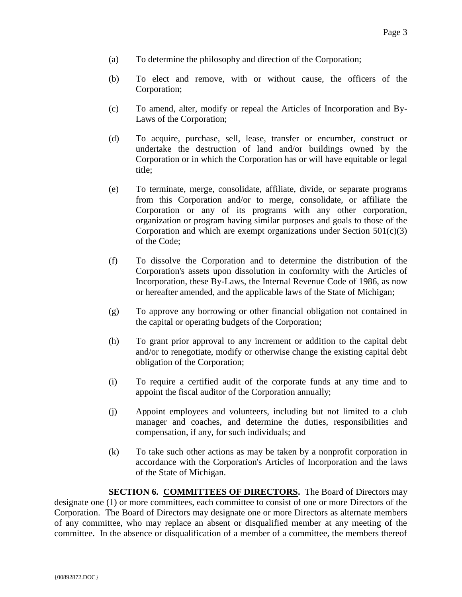- (a) To determine the philosophy and direction of the Corporation;
- (b) To elect and remove, with or without cause, the officers of the Corporation;
- (c) To amend, alter, modify or repeal the Articles of Incorporation and By-Laws of the Corporation;
- (d) To acquire, purchase, sell, lease, transfer or encumber, construct or undertake the destruction of land and/or buildings owned by the Corporation or in which the Corporation has or will have equitable or legal title;
- (e) To terminate, merge, consolidate, affiliate, divide, or separate programs from this Corporation and/or to merge, consolidate, or affiliate the Corporation or any of its programs with any other corporation, organization or program having similar purposes and goals to those of the Corporation and which are exempt organizations under Section  $501(c)(3)$ of the Code;
- (f) To dissolve the Corporation and to determine the distribution of the Corporation's assets upon dissolution in conformity with the Articles of Incorporation, these By-Laws, the Internal Revenue Code of 1986, as now or hereafter amended, and the applicable laws of the State of Michigan;
- (g) To approve any borrowing or other financial obligation not contained in the capital or operating budgets of the Corporation;
- (h) To grant prior approval to any increment or addition to the capital debt and/or to renegotiate, modify or otherwise change the existing capital debt obligation of the Corporation;
- (i) To require a certified audit of the corporate funds at any time and to appoint the fiscal auditor of the Corporation annually;
- (j) Appoint employees and volunteers, including but not limited to a club manager and coaches, and determine the duties, responsibilities and compensation, if any, for such individuals; and
- (k) To take such other actions as may be taken by a nonprofit corporation in accordance with the Corporation's Articles of Incorporation and the laws of the State of Michigan.

**SECTION 6. COMMITTEES OF DIRECTORS.** The Board of Directors may designate one (1) or more committees, each committee to consist of one or more Directors of the Corporation. The Board of Directors may designate one or more Directors as alternate members of any committee, who may replace an absent or disqualified member at any meeting of the committee. In the absence or disqualification of a member of a committee, the members thereof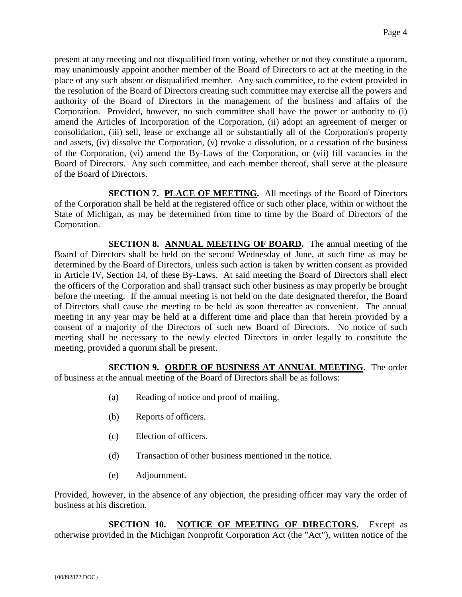present at any meeting and not disqualified from voting, whether or not they constitute a quorum, may unanimously appoint another member of the Board of Directors to act at the meeting in the place of any such absent or disqualified member. Any such committee, to the extent provided in the resolution of the Board of Directors creating such committee may exercise all the powers and authority of the Board of Directors in the management of the business and affairs of the Corporation. Provided, however, no such committee shall have the power or authority to (i) amend the Articles of Incorporation of the Corporation, (ii) adopt an agreement of merger or consolidation, (iii) sell, lease or exchange all or substantially all of the Corporation's property and assets, (iv) dissolve the Corporation, (v) revoke a dissolution, or a cessation of the business of the Corporation, (vi) amend the By-Laws of the Corporation, or (vii) fill vacancies in the Board of Directors. Any such committee, and each member thereof, shall serve at the pleasure of the Board of Directors.

**SECTION 7. PLACE OF MEETING.** All meetings of the Board of Directors of the Corporation shall be held at the registered office or such other place, within or without the State of Michigan, as may be determined from time to time by the Board of Directors of the Corporation.

**SECTION 8. ANNUAL MEETING OF BOARD.** The annual meeting of the Board of Directors shall be held on the second Wednesday of June, at such time as may be determined by the Board of Directors, unless such action is taken by written consent as provided in Article IV, Section 14, of these By-Laws. At said meeting the Board of Directors shall elect the officers of the Corporation and shall transact such other business as may properly be brought before the meeting. If the annual meeting is not held on the date designated therefor, the Board of Directors shall cause the meeting to be held as soon thereafter as convenient. The annual meeting in any year may be held at a different time and place than that herein provided by a consent of a majority of the Directors of such new Board of Directors. No notice of such meeting shall be necessary to the newly elected Directors in order legally to constitute the meeting, provided a quorum shall be present.

**SECTION 9. ORDER OF BUSINESS AT ANNUAL MEETING.** The order of business at the annual meeting of the Board of Directors shall be as follows:

- (a) Reading of notice and proof of mailing.
- (b) Reports of officers.
- (c) Election of officers.
- (d) Transaction of other business mentioned in the notice.
- (e) Adjournment.

Provided, however, in the absence of any objection, the presiding officer may vary the order of business at his discretion.

**SECTION 10. NOTICE OF MEETING OF DIRECTORS.** Except as otherwise provided in the Michigan Nonprofit Corporation Act (the "Act"), written notice of the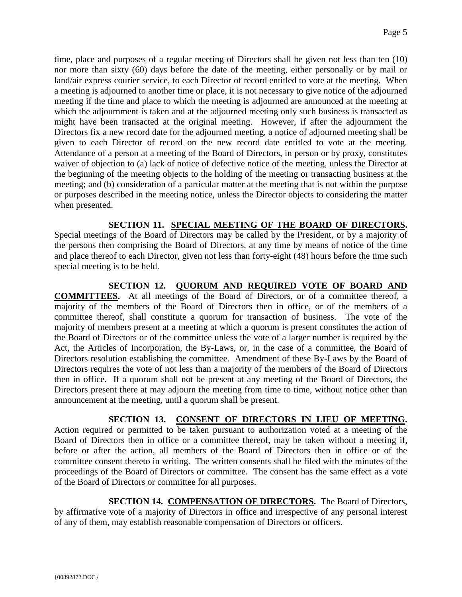time, place and purposes of a regular meeting of Directors shall be given not less than ten (10) nor more than sixty (60) days before the date of the meeting, either personally or by mail or land/air express courier service, to each Director of record entitled to vote at the meeting. When a meeting is adjourned to another time or place, it is not necessary to give notice of the adjourned meeting if the time and place to which the meeting is adjourned are announced at the meeting at which the adjournment is taken and at the adjourned meeting only such business is transacted as might have been transacted at the original meeting. However, if after the adjournment the Directors fix a new record date for the adjourned meeting, a notice of adjourned meeting shall be given to each Director of record on the new record date entitled to vote at the meeting. Attendance of a person at a meeting of the Board of Directors, in person or by proxy, constitutes waiver of objection to (a) lack of notice of defective notice of the meeting, unless the Director at the beginning of the meeting objects to the holding of the meeting or transacting business at the meeting; and (b) consideration of a particular matter at the meeting that is not within the purpose or purposes described in the meeting notice, unless the Director objects to considering the matter when presented.

**SECTION 11. SPECIAL MEETING OF THE BOARD OF DIRECTORS.**

Special meetings of the Board of Directors may be called by the President, or by a majority of the persons then comprising the Board of Directors, at any time by means of notice of the time and place thereof to each Director, given not less than forty-eight (48) hours before the time such special meeting is to be held.

**SECTION 12. QUORUM AND REQUIRED VOTE OF BOARD AND COMMITTEES.** At all meetings of the Board of Directors, or of a committee thereof, a majority of the members of the Board of Directors then in office, or of the members of a committee thereof, shall constitute a quorum for transaction of business. The vote of the majority of members present at a meeting at which a quorum is present constitutes the action of the Board of Directors or of the committee unless the vote of a larger number is required by the Act, the Articles of Incorporation, the By-Laws, or, in the case of a committee, the Board of Directors resolution establishing the committee. Amendment of these By-Laws by the Board of Directors requires the vote of not less than a majority of the members of the Board of Directors then in office. If a quorum shall not be present at any meeting of the Board of Directors, the Directors present there at may adjourn the meeting from time to time, without notice other than announcement at the meeting, until a quorum shall be present.

**SECTION 13. CONSENT OF DIRECTORS IN LIEU OF MEETING.** Action required or permitted to be taken pursuant to authorization voted at a meeting of the Board of Directors then in office or a committee thereof, may be taken without a meeting if, before or after the action, all members of the Board of Directors then in office or of the committee consent thereto in writing. The written consents shall be filed with the minutes of the proceedings of the Board of Directors or committee. The consent has the same effect as a vote of the Board of Directors or committee for all purposes.

**SECTION 14. COMPENSATION OF DIRECTORS.** The Board of Directors, by affirmative vote of a majority of Directors in office and irrespective of any personal interest of any of them, may establish reasonable compensation of Directors or officers.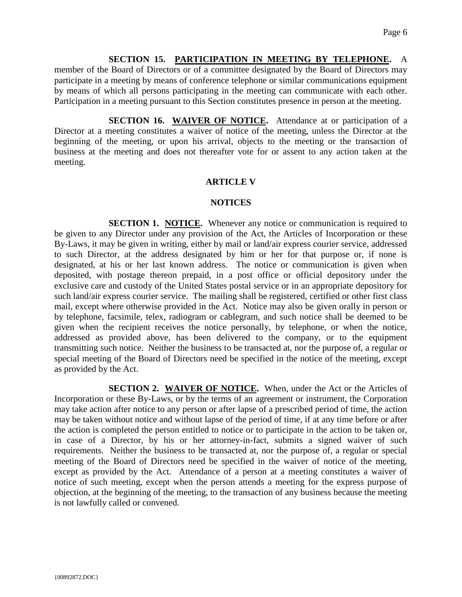## **SECTION 15. PARTICIPATION IN MEETING BY TELEPHONE.** A

member of the Board of Directors or of a committee designated by the Board of Directors may participate in a meeting by means of conference telephone or similar communications equipment by means of which all persons participating in the meeting can communicate with each other. Participation in a meeting pursuant to this Section constitutes presence in person at the meeting.

**SECTION 16. WAIVER OF NOTICE.** Attendance at or participation of a Director at a meeting constitutes a waiver of notice of the meeting, unless the Director at the beginning of the meeting, or upon his arrival, objects to the meeting or the transaction of business at the meeting and does not thereafter vote for or assent to any action taken at the meeting.

# **ARTICLE V**

# **NOTICES**

**SECTION 1. NOTICE.** Whenever any notice or communication is required to be given to any Director under any provision of the Act, the Articles of Incorporation or these By-Laws, it may be given in writing, either by mail or land/air express courier service, addressed to such Director, at the address designated by him or her for that purpose or, if none is designated, at his or her last known address. The notice or communication is given when deposited, with postage thereon prepaid, in a post office or official depository under the exclusive care and custody of the United States postal service or in an appropriate depository for such land/air express courier service. The mailing shall be registered, certified or other first class mail, except where otherwise provided in the Act. Notice may also be given orally in person or by telephone, facsimile, telex, radiogram or cablegram, and such notice shall be deemed to be given when the recipient receives the notice personally, by telephone, or when the notice, addressed as provided above, has been delivered to the company, or to the equipment transmitting such notice. Neither the business to be transacted at, nor the purpose of, a regular or special meeting of the Board of Directors need be specified in the notice of the meeting, except as provided by the Act.

**SECTION 2. WAIVER OF NOTICE.** When, under the Act or the Articles of Incorporation or these By-Laws, or by the terms of an agreement or instrument, the Corporation may take action after notice to any person or after lapse of a prescribed period of time, the action may be taken without notice and without lapse of the period of time, if at any time before or after the action is completed the person entitled to notice or to participate in the action to be taken or, in case of a Director, by his or her attorney-in-fact, submits a signed waiver of such requirements. Neither the business to be transacted at, nor the purpose of, a regular or special meeting of the Board of Directors need be specified in the waiver of notice of the meeting, except as provided by the Act. Attendance of a person at a meeting constitutes a waiver of notice of such meeting, except when the person attends a meeting for the express purpose of objection, at the beginning of the meeting, to the transaction of any business because the meeting is not lawfully called or convened.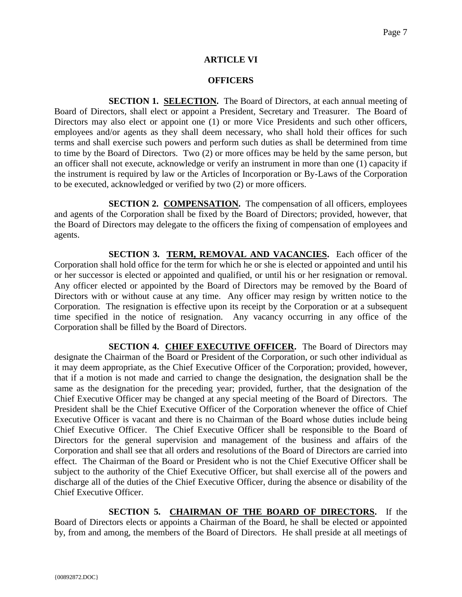# **ARTICLE VI**

# **OFFICERS**

**SECTION 1. SELECTION.** The Board of Directors, at each annual meeting of Board of Directors, shall elect or appoint a President, Secretary and Treasurer. The Board of Directors may also elect or appoint one (1) or more Vice Presidents and such other officers, employees and/or agents as they shall deem necessary, who shall hold their offices for such terms and shall exercise such powers and perform such duties as shall be determined from time to time by the Board of Directors. Two (2) or more offices may be held by the same person, but an officer shall not execute, acknowledge or verify an instrument in more than one (1) capacity if the instrument is required by law or the Articles of Incorporation or By-Laws of the Corporation to be executed, acknowledged or verified by two (2) or more officers.

**SECTION 2. COMPENSATION.** The compensation of all officers, employees and agents of the Corporation shall be fixed by the Board of Directors; provided, however, that the Board of Directors may delegate to the officers the fixing of compensation of employees and agents.

**SECTION 3. TERM, REMOVAL AND VACANCIES.** Each officer of the Corporation shall hold office for the term for which he or she is elected or appointed and until his or her successor is elected or appointed and qualified, or until his or her resignation or removal. Any officer elected or appointed by the Board of Directors may be removed by the Board of Directors with or without cause at any time. Any officer may resign by written notice to the Corporation. The resignation is effective upon its receipt by the Corporation or at a subsequent time specified in the notice of resignation. Any vacancy occurring in any office of the Corporation shall be filled by the Board of Directors.

**SECTION 4. CHIEF EXECUTIVE OFFICER.** The Board of Directors may designate the Chairman of the Board or President of the Corporation, or such other individual as it may deem appropriate, as the Chief Executive Officer of the Corporation; provided, however, that if a motion is not made and carried to change the designation, the designation shall be the same as the designation for the preceding year; provided, further, that the designation of the Chief Executive Officer may be changed at any special meeting of the Board of Directors. The President shall be the Chief Executive Officer of the Corporation whenever the office of Chief Executive Officer is vacant and there is no Chairman of the Board whose duties include being Chief Executive Officer. The Chief Executive Officer shall be responsible to the Board of Directors for the general supervision and management of the business and affairs of the Corporation and shall see that all orders and resolutions of the Board of Directors are carried into effect. The Chairman of the Board or President who is not the Chief Executive Officer shall be subject to the authority of the Chief Executive Officer, but shall exercise all of the powers and discharge all of the duties of the Chief Executive Officer, during the absence or disability of the Chief Executive Officer.

**SECTION 5. CHAIRMAN OF THE BOARD OF DIRECTORS.** If the Board of Directors elects or appoints a Chairman of the Board, he shall be elected or appointed by, from and among, the members of the Board of Directors. He shall preside at all meetings of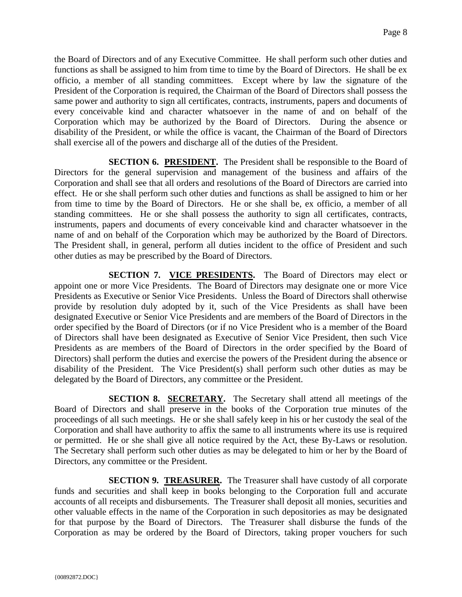the Board of Directors and of any Executive Committee. He shall perform such other duties and functions as shall be assigned to him from time to time by the Board of Directors. He shall be ex officio, a member of all standing committees. Except where by law the signature of the President of the Corporation is required, the Chairman of the Board of Directors shall possess the same power and authority to sign all certificates, contracts, instruments, papers and documents of every conceivable kind and character whatsoever in the name of and on behalf of the Corporation which may be authorized by the Board of Directors. During the absence or disability of the President, or while the office is vacant, the Chairman of the Board of Directors shall exercise all of the powers and discharge all of the duties of the President.

**SECTION 6. PRESIDENT.** The President shall be responsible to the Board of Directors for the general supervision and management of the business and affairs of the Corporation and shall see that all orders and resolutions of the Board of Directors are carried into effect. He or she shall perform such other duties and functions as shall be assigned to him or her from time to time by the Board of Directors. He or she shall be, ex officio, a member of all standing committees. He or she shall possess the authority to sign all certificates, contracts, instruments, papers and documents of every conceivable kind and character whatsoever in the name of and on behalf of the Corporation which may be authorized by the Board of Directors. The President shall, in general, perform all duties incident to the office of President and such other duties as may be prescribed by the Board of Directors.

**SECTION 7. VICE PRESIDENTS.** The Board of Directors may elect or appoint one or more Vice Presidents. The Board of Directors may designate one or more Vice Presidents as Executive or Senior Vice Presidents. Unless the Board of Directors shall otherwise provide by resolution duly adopted by it, such of the Vice Presidents as shall have been designated Executive or Senior Vice Presidents and are members of the Board of Directors in the order specified by the Board of Directors (or if no Vice President who is a member of the Board of Directors shall have been designated as Executive of Senior Vice President, then such Vice Presidents as are members of the Board of Directors in the order specified by the Board of Directors) shall perform the duties and exercise the powers of the President during the absence or disability of the President. The Vice President(s) shall perform such other duties as may be delegated by the Board of Directors, any committee or the President.

**SECTION 8. SECRETARY.** The Secretary shall attend all meetings of the Board of Directors and shall preserve in the books of the Corporation true minutes of the proceedings of all such meetings. He or she shall safely keep in his or her custody the seal of the Corporation and shall have authority to affix the same to all instruments where its use is required or permitted. He or she shall give all notice required by the Act, these By-Laws or resolution. The Secretary shall perform such other duties as may be delegated to him or her by the Board of Directors, any committee or the President.

**SECTION 9. TREASURER.** The Treasurer shall have custody of all corporate funds and securities and shall keep in books belonging to the Corporation full and accurate accounts of all receipts and disbursements. The Treasurer shall deposit all monies, securities and other valuable effects in the name of the Corporation in such depositories as may be designated for that purpose by the Board of Directors. The Treasurer shall disburse the funds of the Corporation as may be ordered by the Board of Directors, taking proper vouchers for such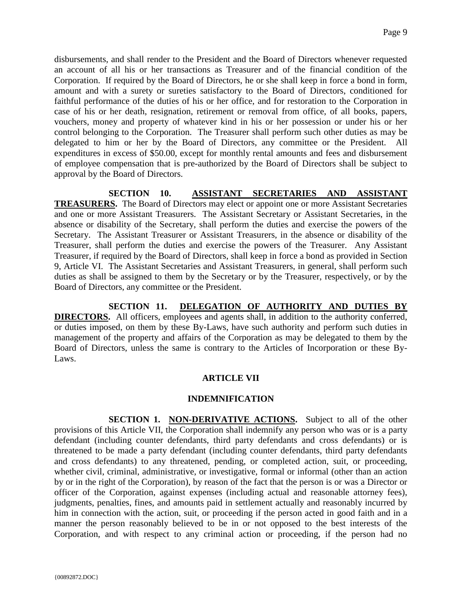disbursements, and shall render to the President and the Board of Directors whenever requested an account of all his or her transactions as Treasurer and of the financial condition of the Corporation. If required by the Board of Directors, he or she shall keep in force a bond in form, amount and with a surety or sureties satisfactory to the Board of Directors, conditioned for faithful performance of the duties of his or her office, and for restoration to the Corporation in case of his or her death, resignation, retirement or removal from office, of all books, papers, vouchers, money and property of whatever kind in his or her possession or under his or her control belonging to the Corporation. The Treasurer shall perform such other duties as may be delegated to him or her by the Board of Directors, any committee or the President. All expenditures in excess of \$50.00, except for monthly rental amounts and fees and disbursement of employee compensation that is pre-authorized by the Board of Directors shall be subject to approval by the Board of Directors.

**SECTION 10. ASSISTANT SECRETARIES AND ASSISTANT TREASURERS.** The Board of Directors may elect or appoint one or more Assistant Secretaries and one or more Assistant Treasurers. The Assistant Secretary or Assistant Secretaries, in the absence or disability of the Secretary, shall perform the duties and exercise the powers of the Secretary. The Assistant Treasurer or Assistant Treasurers, in the absence or disability of the Treasurer, shall perform the duties and exercise the powers of the Treasurer. Any Assistant Treasurer, if required by the Board of Directors, shall keep in force a bond as provided in Section 9, Article VI. The Assistant Secretaries and Assistant Treasurers, in general, shall perform such duties as shall be assigned to them by the Secretary or by the Treasurer, respectively, or by the Board of Directors, any committee or the President.

**SECTION 11. DELEGATION OF AUTHORITY AND DUTIES BY DIRECTORS.** All officers, employees and agents shall, in addition to the authority conferred, or duties imposed, on them by these By-Laws, have such authority and perform such duties in management of the property and affairs of the Corporation as may be delegated to them by the Board of Directors, unless the same is contrary to the Articles of Incorporation or these By-Laws.

## **ARTICLE VII**

#### **INDEMNIFICATION**

**SECTION 1. NON-DERIVATIVE ACTIONS.** Subject to all of the other provisions of this Article VII, the Corporation shall indemnify any person who was or is a party defendant (including counter defendants, third party defendants and cross defendants) or is threatened to be made a party defendant (including counter defendants, third party defendants and cross defendants) to any threatened, pending, or completed action, suit, or proceeding, whether civil, criminal, administrative, or investigative, formal or informal (other than an action by or in the right of the Corporation), by reason of the fact that the person is or was a Director or officer of the Corporation, against expenses (including actual and reasonable attorney fees), judgments, penalties, fines, and amounts paid in settlement actually and reasonably incurred by him in connection with the action, suit, or proceeding if the person acted in good faith and in a manner the person reasonably believed to be in or not opposed to the best interests of the Corporation, and with respect to any criminal action or proceeding, if the person had no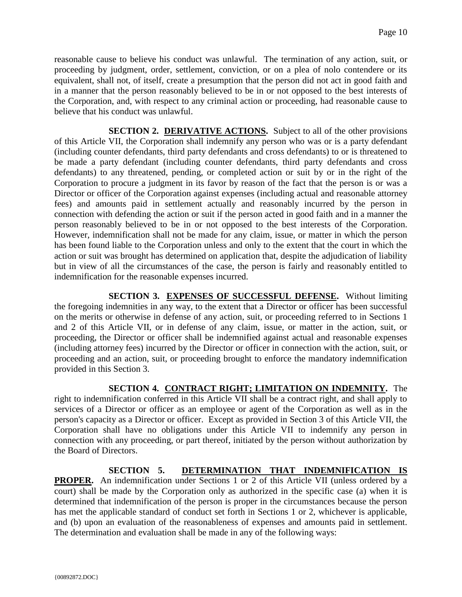reasonable cause to believe his conduct was unlawful. The termination of any action, suit, or proceeding by judgment, order, settlement, conviction, or on a plea of nolo contendere or its equivalent, shall not, of itself, create a presumption that the person did not act in good faith and in a manner that the person reasonably believed to be in or not opposed to the best interests of the Corporation, and, with respect to any criminal action or proceeding, had reasonable cause to believe that his conduct was unlawful.

**SECTION 2. DERIVATIVE ACTIONS.** Subject to all of the other provisions of this Article VII, the Corporation shall indemnify any person who was or is a party defendant (including counter defendants, third party defendants and cross defendants) to or is threatened to be made a party defendant (including counter defendants, third party defendants and cross defendants) to any threatened, pending, or completed action or suit by or in the right of the Corporation to procure a judgment in its favor by reason of the fact that the person is or was a Director or officer of the Corporation against expenses (including actual and reasonable attorney fees) and amounts paid in settlement actually and reasonably incurred by the person in connection with defending the action or suit if the person acted in good faith and in a manner the person reasonably believed to be in or not opposed to the best interests of the Corporation. However, indemnification shall not be made for any claim, issue, or matter in which the person has been found liable to the Corporation unless and only to the extent that the court in which the action or suit was brought has determined on application that, despite the adjudication of liability but in view of all the circumstances of the case, the person is fairly and reasonably entitled to indemnification for the reasonable expenses incurred.

**SECTION 3. EXPENSES OF SUCCESSFUL DEFENSE.** Without limiting the foregoing indemnities in any way, to the extent that a Director or officer has been successful on the merits or otherwise in defense of any action, suit, or proceeding referred to in Sections 1 and 2 of this Article VII, or in defense of any claim, issue, or matter in the action, suit, or proceeding, the Director or officer shall be indemnified against actual and reasonable expenses (including attorney fees) incurred by the Director or officer in connection with the action, suit, or proceeding and an action, suit, or proceeding brought to enforce the mandatory indemnification provided in this Section 3.

**SECTION 4. CONTRACT RIGHT; LIMITATION ON INDEMNITY.** The right to indemnification conferred in this Article VII shall be a contract right, and shall apply to services of a Director or officer as an employee or agent of the Corporation as well as in the person's capacity as a Director or officer. Except as provided in Section 3 of this Article VII, the Corporation shall have no obligations under this Article VII to indemnify any person in connection with any proceeding, or part thereof, initiated by the person without authorization by the Board of Directors.

**SECTION 5. DETERMINATION THAT INDEMNIFICATION IS PROPER.** An indemnification under Sections 1 or 2 of this Article VII (unless ordered by a court) shall be made by the Corporation only as authorized in the specific case (a) when it is determined that indemnification of the person is proper in the circumstances because the person has met the applicable standard of conduct set forth in Sections 1 or 2, whichever is applicable, and (b) upon an evaluation of the reasonableness of expenses and amounts paid in settlement. The determination and evaluation shall be made in any of the following ways: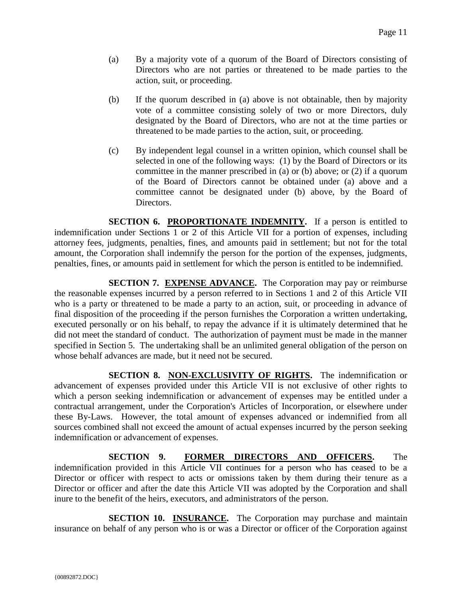- (a) By a majority vote of a quorum of the Board of Directors consisting of Directors who are not parties or threatened to be made parties to the action, suit, or proceeding.
- (b) If the quorum described in (a) above is not obtainable, then by majority vote of a committee consisting solely of two or more Directors, duly designated by the Board of Directors, who are not at the time parties or threatened to be made parties to the action, suit, or proceeding.
- (c) By independent legal counsel in a written opinion, which counsel shall be selected in one of the following ways: (1) by the Board of Directors or its committee in the manner prescribed in (a) or (b) above; or (2) if a quorum of the Board of Directors cannot be obtained under (a) above and a committee cannot be designated under (b) above, by the Board of Directors.

**SECTION 6. PROPORTIONATE INDEMNITY.** If a person is entitled to indemnification under Sections 1 or 2 of this Article VII for a portion of expenses, including attorney fees, judgments, penalties, fines, and amounts paid in settlement; but not for the total amount, the Corporation shall indemnify the person for the portion of the expenses, judgments, penalties, fines, or amounts paid in settlement for which the person is entitled to be indemnified.

**SECTION 7. EXPENSE ADVANCE.** The Corporation may pay or reimburse the reasonable expenses incurred by a person referred to in Sections 1 and 2 of this Article VII who is a party or threatened to be made a party to an action, suit, or proceeding in advance of final disposition of the proceeding if the person furnishes the Corporation a written undertaking, executed personally or on his behalf, to repay the advance if it is ultimately determined that he did not meet the standard of conduct. The authorization of payment must be made in the manner specified in Section 5. The undertaking shall be an unlimited general obligation of the person on whose behalf advances are made, but it need not be secured.

**SECTION 8. NON-EXCLUSIVITY OF RIGHTS.** The indemnification or advancement of expenses provided under this Article VII is not exclusive of other rights to which a person seeking indemnification or advancement of expenses may be entitled under a contractual arrangement, under the Corporation's Articles of Incorporation, or elsewhere under these By-Laws. However, the total amount of expenses advanced or indemnified from all sources combined shall not exceed the amount of actual expenses incurred by the person seeking indemnification or advancement of expenses.

**SECTION 9. FORMER DIRECTORS AND OFFICERS.** The indemnification provided in this Article VII continues for a person who has ceased to be a Director or officer with respect to acts or omissions taken by them during their tenure as a Director or officer and after the date this Article VII was adopted by the Corporation and shall inure to the benefit of the heirs, executors, and administrators of the person.

**SECTION 10. INSURANCE.** The Corporation may purchase and maintain insurance on behalf of any person who is or was a Director or officer of the Corporation against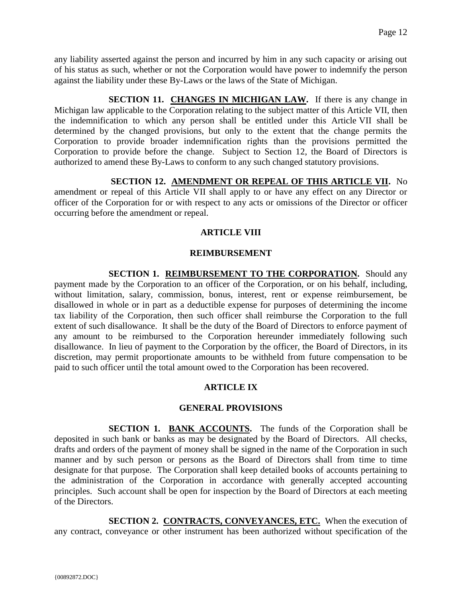any liability asserted against the person and incurred by him in any such capacity or arising out of his status as such, whether or not the Corporation would have power to indemnify the person against the liability under these By-Laws or the laws of the State of Michigan.

**SECTION 11. CHANGES IN MICHIGAN LAW.** If there is any change in Michigan law applicable to the Corporation relating to the subject matter of this Article VII, then the indemnification to which any person shall be entitled under this Article VII shall be determined by the changed provisions, but only to the extent that the change permits the Corporation to provide broader indemnification rights than the provisions permitted the Corporation to provide before the change. Subject to Section 12, the Board of Directors is authorized to amend these By-Laws to conform to any such changed statutory provisions.

**SECTION 12. AMENDMENT OR REPEAL OF THIS ARTICLE VII.** No amendment or repeal of this Article VII shall apply to or have any effect on any Director or officer of the Corporation for or with respect to any acts or omissions of the Director or officer occurring before the amendment or repeal.

### **ARTICLE VIII**

#### **REIMBURSEMENT**

**SECTION 1. REIMBURSEMENT TO THE CORPORATION.** Should any payment made by the Corporation to an officer of the Corporation, or on his behalf, including, without limitation, salary, commission, bonus, interest, rent or expense reimbursement, be disallowed in whole or in part as a deductible expense for purposes of determining the income tax liability of the Corporation, then such officer shall reimburse the Corporation to the full extent of such disallowance. It shall be the duty of the Board of Directors to enforce payment of any amount to be reimbursed to the Corporation hereunder immediately following such disallowance. In lieu of payment to the Corporation by the officer, the Board of Directors, in its discretion, may permit proportionate amounts to be withheld from future compensation to be paid to such officer until the total amount owed to the Corporation has been recovered.

## **ARTICLE IX**

#### **GENERAL PROVISIONS**

**SECTION 1. BANK ACCOUNTS.** The funds of the Corporation shall be deposited in such bank or banks as may be designated by the Board of Directors. All checks, drafts and orders of the payment of money shall be signed in the name of the Corporation in such manner and by such person or persons as the Board of Directors shall from time to time designate for that purpose. The Corporation shall keep detailed books of accounts pertaining to the administration of the Corporation in accordance with generally accepted accounting principles. Such account shall be open for inspection by the Board of Directors at each meeting of the Directors.

**SECTION 2. CONTRACTS, CONVEYANCES, ETC.** When the execution of any contract, conveyance or other instrument has been authorized without specification of the